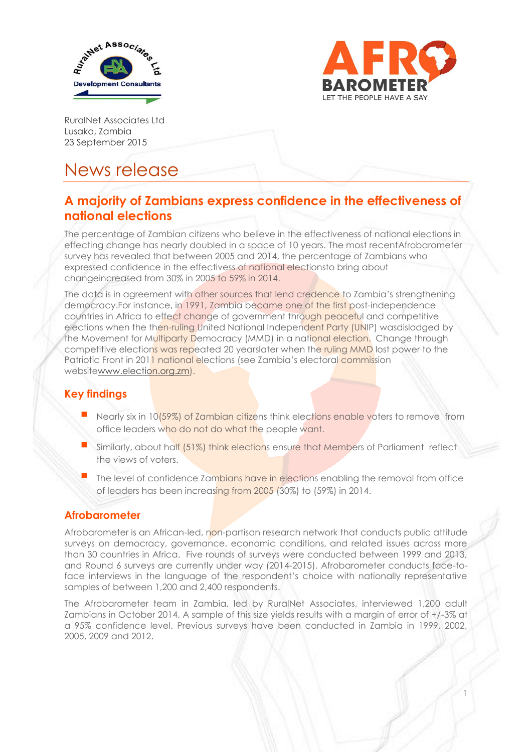



1

RuralNet Associates Ltd Lusaka, Zambia 23 September 2015

# News release

# **A majority of Zambians express confidence in the effectiveness of national elections**

The percentage of Zambian citizens who believe in the effectiveness of national elections in effecting change has nearly doubled in a space of 10 years. The most recentAfrobarometer survey has revealed that between 2005 and 2014, the percentage of Zambians who expressed confidence in the effectivess of national electionsto bring about changeincreased from 30% in 2005 to 59% in 2014.

The data is in agreement with other sources that lend credence to Zambia's strengthening democracy.For instance, in 1991, Zambia became one of the first post-independence countries in Africa to effect change of government through peaceful and competitive elections when the then-ruling United National Independent Party (UNIP) wasdislodged by the Movement for Multiparty Democracy (MMD) in a national election. Change through competitive elections was repeated 20 yearslater when the ruling MMD lost power to the Patriotic Front in 2011 national elections (see Zambia's electoral commission websit[ewww.election.org.zm\)](http://www.election.org.zm/).

## **Key findings**

- Nearly six in 10(59%) of Zambian citizens think elections enable voters to remove from office leaders who do not do what the people want.
- Similarly, about half (51%) think elections ensure that Members of Parliament reflect the views of voters.
- The level of confidence Zambians have in elections enabling the removal from office of leaders has been increasing from 2005 (30%) to (59%) in 2014.

### **Afrobarometer**

Afrobarometer is an African-led, non-partisan research network that conducts public attitude surveys on democracy, governance, economic conditions, and related issues across more than 30 countries in Africa. Five rounds of surveys were conducted between 1999 and 2013, and Round 6 surveys are currently under way (2014-2015). Afrobarometer conducts face-toface interviews in the language of the respondent's choice with nationally representative samples of between 1,200 and 2,400 respondents.

The Afrobarometer team in Zambia, led by RuralNet Associates, interviewed 1,200 adult Zambians in October 2014. A sample of this size yields results with a margin of error of +/-3% at a 95% confidence level. Previous surveys have been conducted in Zambia in 1999, 2002, 2005, 2009 and 2012.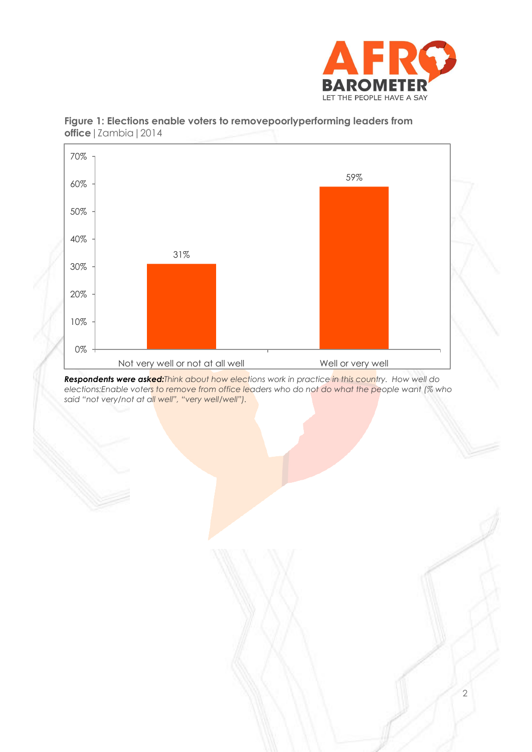



#### **Figure 1: Elections enable voters to removepoorlyperforming leaders from office**|Zambia|2014

*Respondents were asked:Think about how elections work in practice in this country. How well do elections:Enable voters to remove from office leaders who do not do what the people want (% who said "not very/not at all well", "very well/well").*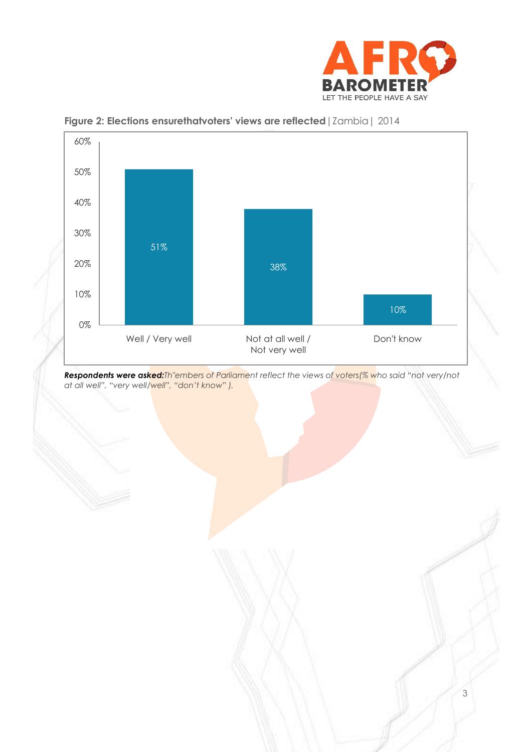



**Figure 2: Elections ensurethatvoters' views are reflected**|Zambia| 2014

*Respondents were asked:Th"embers of Parliament reflect the views of voters(% who said "not very/not at all well", "very well/well", "don't know" ).*